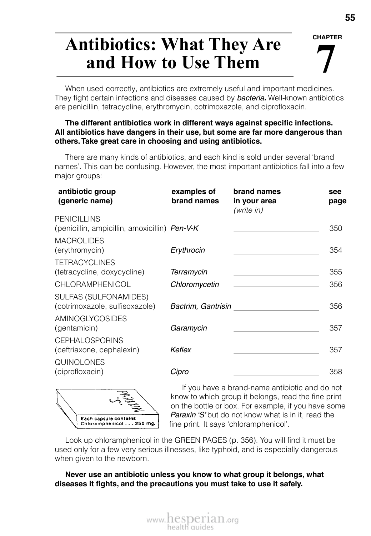#### **CHAPTER**

# **7 Antibiotics: What They Are and How to Use Them**

When used correctly, antibiotics are extremely useful and important medicines. They fight certain infections and diseases caused by *bacteria.* Well-known antibiotics are penicillin, tetracycline, erythromycin, cotrimoxazole, and ciprofloxacin.

#### **The different antibiotics work in different ways against specific infections. All antibiotics have dangers in their use, but some are far more dangerous than others. Take great care in choosing and using antibiotics.**

There are many kinds of antibiotics, and each kind is sold under several 'brand names'. This can be confusing. However, the most important antibiotics fall into a few major groups:

| antibiotic group<br>(generic name)                                  | examples of<br>brand names | brand names<br>in your area<br>(write in) | see<br>page |
|---------------------------------------------------------------------|----------------------------|-------------------------------------------|-------------|
| <b>PENICILLINS</b><br>(penicillin, ampicillin, amoxicillin) Pen-V-K |                            |                                           | 350         |
| <b>MACROLIDES</b><br>(erythromycin)                                 | Erythrocin                 |                                           | 354         |
| <b>TETRACYCLINES</b><br>(tetracycline, doxycycline)                 | Terramycin                 |                                           | 355         |
| <b>CHLORAMPHENICOL</b>                                              | Chloromycetin              |                                           | 356         |
| SULFAS (SULFONAMIDES)<br>(cotrimoxazole, sulfisoxazole)             | Bactrim, Gantrisin         |                                           | 356         |
| <b>AMINOGLYCOSIDES</b><br>(gentamicin)                              | Garamycin                  |                                           | 357         |
| <b>CEPHALOSPORINS</b><br>(ceftriaxone, cephalexin)                  | Keflex                     |                                           | 357         |
| <b>QUINOLONES</b><br>(ciprofloxacin)                                | Cipro                      |                                           | 358         |
|                                                                     |                            |                                           |             |



If you have a brand-name antibiotic and do not know to which group it belongs, read the fine print on the bottle or box. For example, if you have some *Paraxin 'S'* but do not know what is in it, read the fine print. It says 'chloramphenicol'.

Look up chloramphenicol in the GREEN PAGES (p. 356). You will find it must be used only for a few very serious illnesses, like typhoid, and is especially dangerous when given to the newborn.

**Never use an antibiotic unless you know to what group it belongs, what diseases it fights, and the precautions you must take to use it safely.**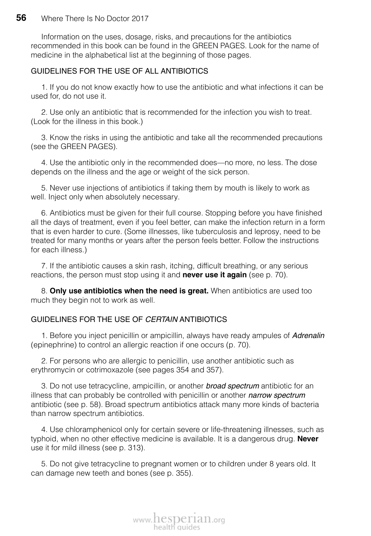Information on the uses, dosage, risks, and precautions for the antibiotics recommended in this book can be found in the GREEN PAGES. Look for the name of medicine in the alphabetical list at the beginning of those pages.

### GUIDELINES FOR THE USE OF ALL ANTIBIOTICS

1. If you do not know exactly how to use the antibiotic and what infections it can be used for, do not use it.

2. Use only an antibiotic that is recommended for the infection you wish to treat. (Look for the illness in this book.)

3. Know the risks in using the antibiotic and take all the recommended precautions (see the GREEN PAGES).

4. Use the antibiotic only in the recommended does—no more, no less. The dose depends on the illness and the age or weight of the sick person.

5. Never use injections of antibiotics if taking them by mouth is likely to work as well. Inject only when absolutely necessary.

6. Antibiotics must be given for their full course. Stopping before you have finished all the days of treatment, even if you feel better, can make the infection return in a form that is even harder to cure. (Some illnesses, like tuberculosis and leprosy, need to be treated for many months or years after the person feels better. Follow the instructions for each illness.)

7. If the antibiotic causes a skin rash, itching, difficult breathing, or any serious reactions, the person must stop using it and **never use it again** (see p. 70).

8. **Only use antibiotics when the need is great.** When antibiotics are used too much they begin not to work as well.

### GUIDELINES FOR THE USE OF *CERTAIN* ANTIBIOTICS

1. Before you inject penicillin or ampicillin, always have ready ampules of *Adrenalin* (epinephrine) to control an allergic reaction if one occurs (p. 70).

2. For persons who are allergic to penicillin, use another antibiotic such as erythromycin or cotrimoxazole (see pages 354 and 357).

3. Do not use tetracycline, ampicillin, or another *broad spectrum* antibiotic for an illness that can probably be controlled with penicillin or another *narrow spectrum* antibiotic (see p. 58). Broad spectrum antibiotics attack many more kinds of bacteria than narrow spectrum antibiotics.

4. Use chloramphenicol only for certain severe or life-threatening illnesses, such as typhoid, when no other effective medicine is available. It is a dangerous drug. **Never** use it for mild illness (see p. 313).

5. Do not give tetracycline to pregnant women or to children under 8 years old. It can damage new teeth and bones (see p. 355).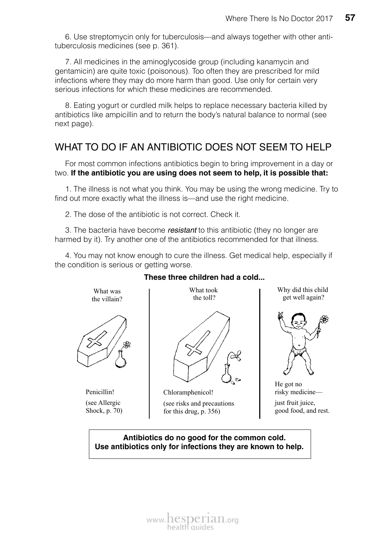6. Use streptomycin only for tuberculosis—and always together with other antituberculosis medicines (see p. 361).

7. All medicines in the aminoglycoside group (including kanamycin and gentamicin) are quite toxic (poisonous). Too often they are prescribed for mild infections where they may do more harm than good. Use only for certain very serious infections for which these medicines are recommended.

8. Eating yogurt or curdled milk helps to replace necessary bacteria killed by antibiotics like ampicillin and to return the body's natural balance to normal (see next page).

## WHAT TO DO IF AN ANTIBIOTIC DOES NOT SEEM TO HELP

For most common infections antibiotics begin to bring improvement in a day or two. **If the antibiotic you are using does not seem to help, it is possible that:**

1. The illness is not what you think. You may be using the wrong medicine. Try to find out more exactly what the illness is—and use the right medicine.

2. The dose of the antibiotic is not correct. Check it.

What was the villain?

Penicillin! (see Allergic Shock, p. 70)

3. The bacteria have become *resistant* to this antibiotic (they no longer are harmed by it). Try another one of the antibiotics recommended for that illness.

4. You may not know enough to cure the illness. Get medical help, especially if the condition is serious or getting worse.



Chloramphenicol! (see risks and precautions for this drug, p. 356)

Why did this child get well again?



He got no risky medicine—

just fruit juice, good food, and rest.

### **Antibiotics do no good for the common cold. Use antibiotics only for infections they are known to help.**

### **These three children had a cold...**

www.hesperian.org health quid